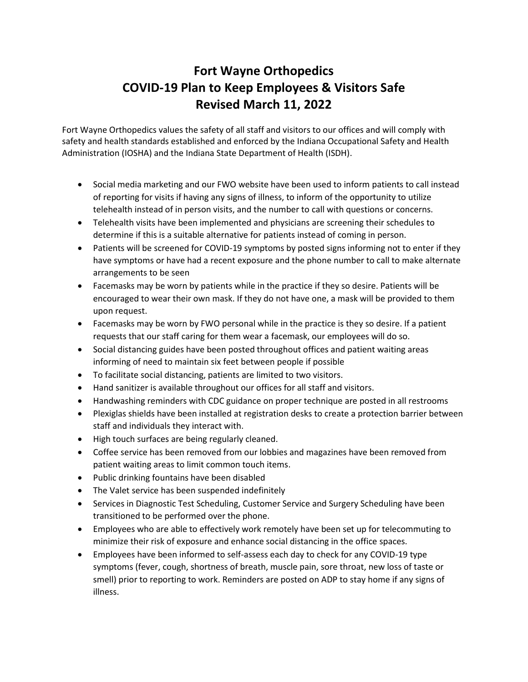## **Fort Wayne Orthopedics COVID-19 Plan to Keep Employees & Visitors Safe Revised March 11, 2022**

Fort Wayne Orthopedics values the safety of all staff and visitors to our offices and will comply with safety and health standards established and enforced by the Indiana Occupational Safety and Health Administration (IOSHA) and the Indiana State Department of Health (ISDH).

- Social media marketing and our FWO website have been used to inform patients to call instead of reporting for visits if having any signs of illness, to inform of the opportunity to utilize telehealth instead of in person visits, and the number to call with questions or concerns.
- Telehealth visits have been implemented and physicians are screening their schedules to determine if this is a suitable alternative for patients instead of coming in person.
- Patients will be screened for COVID-19 symptoms by posted signs informing not to enter if they have symptoms or have had a recent exposure and the phone number to call to make alternate arrangements to be seen
- Facemasks may be worn by patients while in the practice if they so desire. Patients will be encouraged to wear their own mask. If they do not have one, a mask will be provided to them upon request.
- Facemasks may be worn by FWO personal while in the practice is they so desire. If a patient requests that our staff caring for them wear a facemask, our employees will do so.
- Social distancing guides have been posted throughout offices and patient waiting areas informing of need to maintain six feet between people if possible
- To facilitate social distancing, patients are limited to two visitors.
- Hand sanitizer is available throughout our offices for all staff and visitors.
- Handwashing reminders with CDC guidance on proper technique are posted in all restrooms
- Plexiglas shields have been installed at registration desks to create a protection barrier between staff and individuals they interact with.
- High touch surfaces are being regularly cleaned.
- Coffee service has been removed from our lobbies and magazines have been removed from patient waiting areas to limit common touch items.
- Public drinking fountains have been disabled
- The Valet service has been suspended indefinitely
- Services in Diagnostic Test Scheduling, Customer Service and Surgery Scheduling have been transitioned to be performed over the phone.
- Employees who are able to effectively work remotely have been set up for telecommuting to minimize their risk of exposure and enhance social distancing in the office spaces.
- Employees have been informed to self-assess each day to check for any COVID-19 type symptoms (fever, cough, shortness of breath, muscle pain, sore throat, new loss of taste or smell) prior to reporting to work. Reminders are posted on ADP to stay home if any signs of illness.